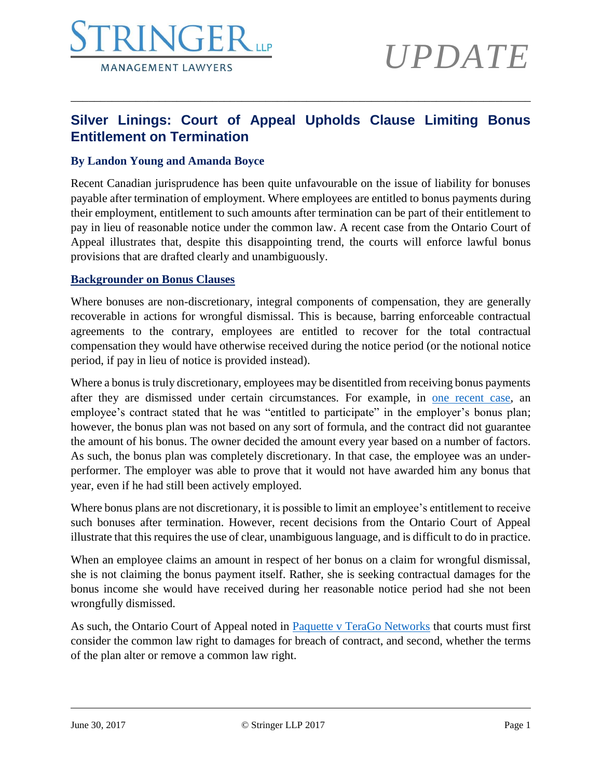

# *UPDATE*

### **Silver Linings: Court of Appeal Upholds Clause Limiting Bonus Entitlement on Termination**

\_\_\_\_\_\_\_\_\_\_\_\_\_\_\_\_\_\_\_\_\_\_\_\_\_\_\_\_\_\_\_\_\_\_\_\_\_\_\_\_\_\_\_\_\_\_\_\_\_\_\_\_\_\_\_\_\_\_\_\_\_\_\_\_\_\_\_\_\_\_\_\_\_\_\_\_\_\_

### **By Landon Young and Amanda Boyce**

Recent Canadian jurisprudence has been quite unfavourable on the issue of liability for bonuses payable after termination of employment. Where employees are entitled to bonus payments during their employment, entitlement to such amounts after termination can be part of their entitlement to pay in lieu of reasonable notice under the common law. A recent case from the Ontario Court of Appeal illustrates that, despite this disappointing trend, the courts will enforce lawful bonus provisions that are drafted clearly and unambiguously.

#### **Backgrounder on Bonus Clauses**

Where bonuses are non-discretionary, integral components of compensation, they are generally recoverable in actions for wrongful dismissal. This is because, barring enforceable contractual agreements to the contrary, employees are entitled to recover for the total contractual compensation they would have otherwise received during the notice period (or the notional notice period, if pay in lieu of notice is provided instead).

Where a bonus is truly discretionary, employees may be disentitled from receiving bonus payments after they are dismissed under certain circumstances. For example, in [one recent case,](http://blog.firstreference.com/discretion-better-part-bonus-plans-limiting-employee-entitlement-post-termination-bonus-payments/) an employee's contract stated that he was "entitled to participate" in the employer's bonus plan; however, the bonus plan was not based on any sort of formula, and the contract did not guarantee the amount of his bonus. The owner decided the amount every year based on a number of factors. As such, the bonus plan was completely discretionary. In that case, the employee was an underperformer. The employer was able to prove that it would not have awarded him any bonus that year, even if he had still been actively employed.

Where bonus plans are not discretionary, it is possible to limit an employee's entitlement to receive such bonuses after termination. However, recent decisions from the Ontario Court of Appeal illustrate that this requires the use of clear, unambiguous language, and is difficult to do in practice.

When an employee claims an amount in respect of her bonus on a claim for wrongful dismissal, she is not claiming the bonus payment itself. Rather, she is seeking contractual damages for the bonus income she would have received during her reasonable notice period had she not been wrongfully dismissed.

As such, the Ontario Court of Appeal noted in [Paquette v TeraGo Networks](http://canlii.ca/t/gsw04) that courts must first consider the common law right to damages for breach of contract, and second, whether the terms of the plan alter or remove a common law right.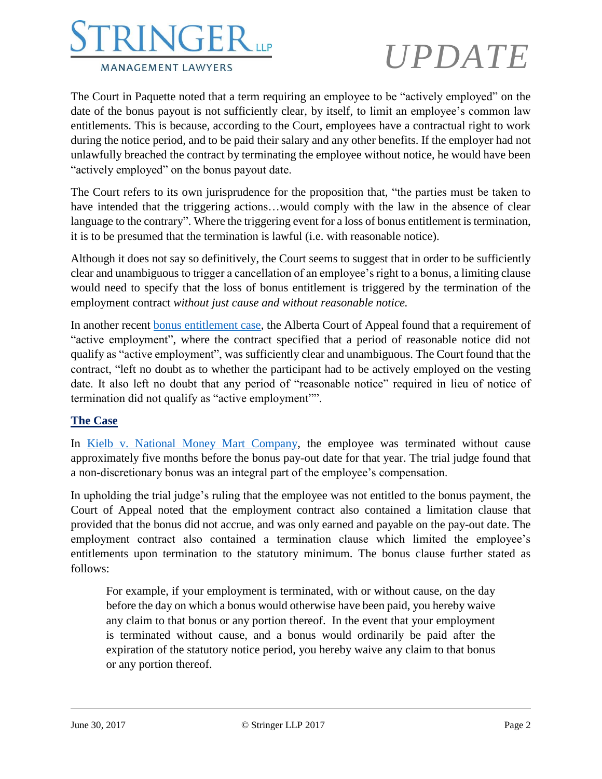## NGE. **MANAGEMENT LAWYERS**

# *UPDATE*

The Court in Paquette noted that a term requiring an employee to be "actively employed" on the date of the bonus payout is not sufficiently clear, by itself, to limit an employee's common law entitlements. This is because, according to the Court, employees have a contractual right to work during the notice period, and to be paid their salary and any other benefits. If the employer had not unlawfully breached the contract by terminating the employee without notice, he would have been "actively employed" on the bonus payout date.

The Court refers to its own jurisprudence for the proposition that, "the parties must be taken to have intended that the triggering actions...would comply with the law in the absence of clear language to the contrary". Where the triggering event for a loss of bonus entitlement is termination, it is to be presumed that the termination is lawful (i.e. with reasonable notice).

Although it does not say so definitively, the Court seems to suggest that in order to be sufficiently clear and unambiguous to trigger a cancellation of an employee's right to a bonus, a limiting clause would need to specify that the loss of bonus entitlement is triggered by the termination of the employment contract *without just cause and without reasonable notice.*

In another recent [bonus entitlement case,](http://canlii.ca/t/gwn24) the Alberta Court of Appeal found that a requirement of "active employment", where the contract specified that a period of reasonable notice did not qualify as "active employment", was sufficiently clear and unambiguous. The Court found that the contract, "left no doubt as to whether the participant had to be actively employed on the vesting date. It also left no doubt that any period of "reasonable notice" required in lieu of notice of termination did not qualify as "active employment"".

### **The Case**

In Kielb [v. National Money Mart Company,](http://canlii.ca/t/h3ldt) the employee was terminated without cause approximately five months before the bonus pay-out date for that year. The trial judge found that a non-discretionary bonus was an integral part of the employee's compensation.

In upholding the trial judge's ruling that the employee was not entitled to the bonus payment, the Court of Appeal noted that the employment contract also contained a limitation clause that provided that the bonus did not accrue, and was only earned and payable on the pay-out date. The employment contract also contained a termination clause which limited the employee's entitlements upon termination to the statutory minimum. The bonus clause further stated as follows:

For example, if your employment is terminated, with or without cause, on the day before the day on which a bonus would otherwise have been paid, you hereby waive any claim to that bonus or any portion thereof. In the event that your employment is terminated without cause, and a bonus would ordinarily be paid after the expiration of the statutory notice period, you hereby waive any claim to that bonus or any portion thereof.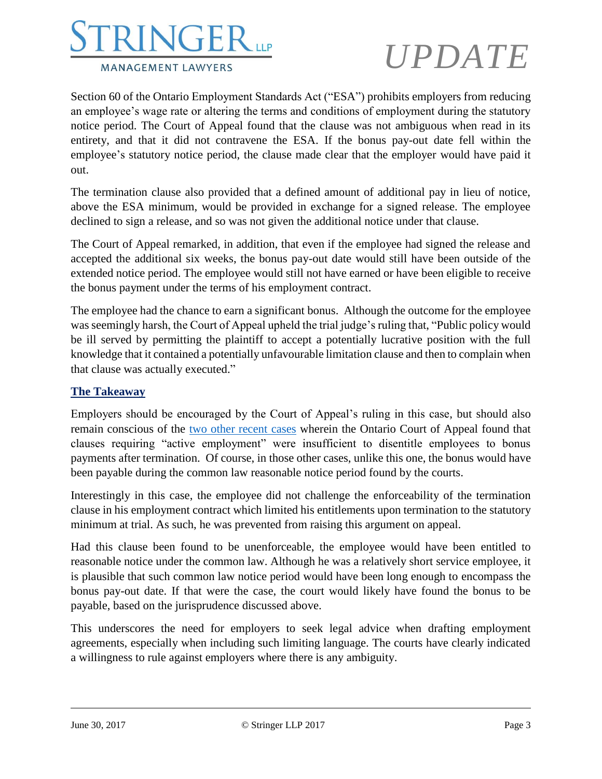

# *UPDATE*

Section 60 of the Ontario Employment Standards Act ("ESA") prohibits employers from reducing an employee's wage rate or altering the terms and conditions of employment during the statutory notice period. The Court of Appeal found that the clause was not ambiguous when read in its entirety, and that it did not contravene the ESA. If the bonus pay-out date fell within the employee's statutory notice period, the clause made clear that the employer would have paid it out.

The termination clause also provided that a defined amount of additional pay in lieu of notice, above the ESA minimum, would be provided in exchange for a signed release. The employee declined to sign a release, and so was not given the additional notice under that clause.

The Court of Appeal remarked, in addition, that even if the employee had signed the release and accepted the additional six weeks, the bonus pay-out date would still have been outside of the extended notice period. The employee would still not have earned or have been eligible to receive the bonus payment under the terms of his employment contract.

The employee had the chance to earn a significant bonus. Although the outcome for the employee was seemingly harsh, the Court of Appeal upheld the trial judge's ruling that, "Public policy would be ill served by permitting the plaintiff to accept a potentially lucrative position with the full knowledge that it contained a potentially unfavourable limitation clause and then to complain when that clause was actually executed."

### **The Takeaway**

Employers should be encouraged by the Court of Appeal's ruling in this case, but should also remain conscious of the [two other recent cases](https://www.shrm.org/resourcesandtools/hr-topics/global-hr/pages/ontario-bonuses.aspx) wherein the Ontario Court of Appeal found that clauses requiring "active employment" were insufficient to disentitle employees to bonus payments after termination. Of course, in those other cases, unlike this one, the bonus would have been payable during the common law reasonable notice period found by the courts.

Interestingly in this case, the employee did not challenge the enforceability of the termination clause in his employment contract which limited his entitlements upon termination to the statutory minimum at trial. As such, he was prevented from raising this argument on appeal.

Had this clause been found to be unenforceable, the employee would have been entitled to reasonable notice under the common law. Although he was a relatively short service employee, it is plausible that such common law notice period would have been long enough to encompass the bonus pay-out date. If that were the case, the court would likely have found the bonus to be payable, based on the jurisprudence discussed above.

This underscores the need for employers to seek legal advice when drafting employment agreements, especially when including such limiting language. The courts have clearly indicated a willingness to rule against employers where there is any ambiguity.